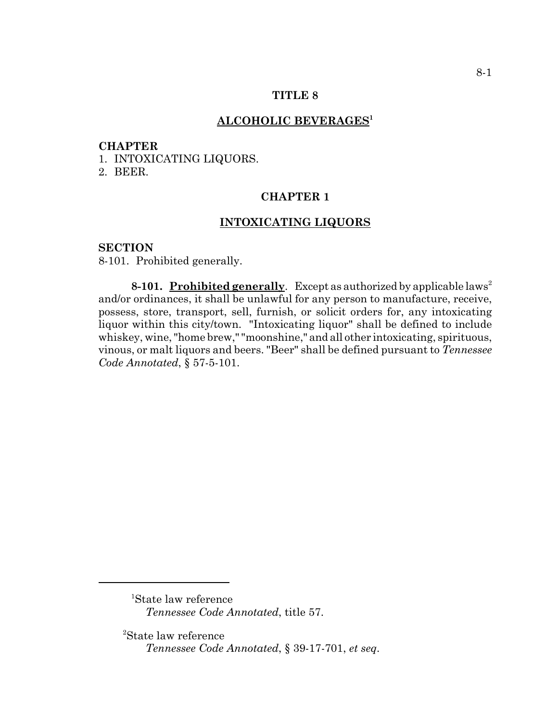# **TITLE 8**

# **ALCOHOLIC BEVERAGES1**

#### **CHAPTER**

1. INTOXICATING LIQUORS.

2. BEER.

# **CHAPTER 1**

## **INTOXICATING LIQUORS**

#### **SECTION**

8-101. Prohibited generally.

**8-101. Prohibited generally.** Except as authorized by applicable laws<sup>2</sup> and/or ordinances, it shall be unlawful for any person to manufacture, receive, possess, store, transport, sell, furnish, or solicit orders for, any intoxicating liquor within this city/town. "Intoxicating liquor" shall be defined to include whiskey, wine, "home brew," "moonshine," and all other intoxicating, spirituous, vinous, or malt liquors and beers. "Beer" shall be defined pursuant to *Tennessee Code Annotated*, § 57-5-101.

<sup>1</sup> State law reference *Tennessee Code Annotated*, title 57.

<sup>2</sup> State law reference *Tennessee Code Annotated*, § 39-17-701, *et seq*.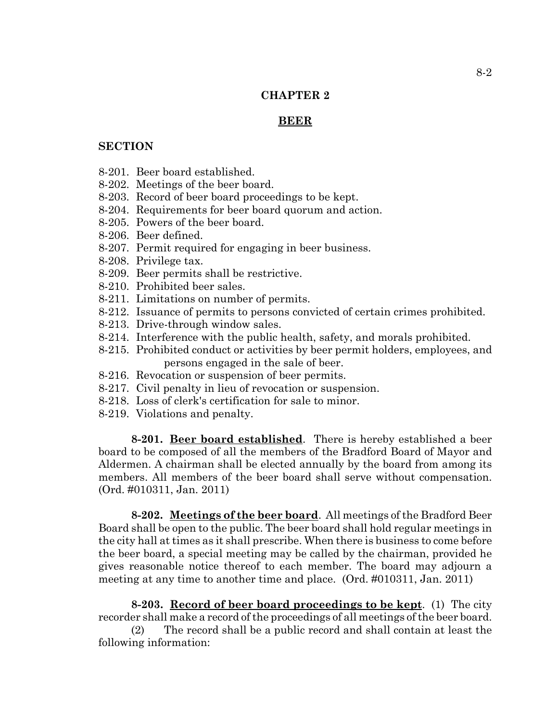# **CHAPTER 2**

# **BEER**

### **SECTION**

- 8-201. Beer board established.
- 8-202. Meetings of the beer board.
- 8-203. Record of beer board proceedings to be kept.
- 8-204. Requirements for beer board quorum and action.
- 8-205. Powers of the beer board.
- 8-206. Beer defined.
- 8-207. Permit required for engaging in beer business.
- 8-208. Privilege tax.
- 8-209. Beer permits shall be restrictive.
- 8-210. Prohibited beer sales.
- 8-211. Limitations on number of permits.
- 8-212. Issuance of permits to persons convicted of certain crimes prohibited.
- 8-213. Drive-through window sales.
- 8-214. Interference with the public health, safety, and morals prohibited.
- 8-215. Prohibited conduct or activities by beer permit holders, employees, and persons engaged in the sale of beer.
- 8-216. Revocation or suspension of beer permits.
- 8-217. Civil penalty in lieu of revocation or suspension.
- 8-218. Loss of clerk's certification for sale to minor.
- 8-219. Violations and penalty.

**8-201. Beer board established**. There is hereby established a beer board to be composed of all the members of the Bradford Board of Mayor and Aldermen. A chairman shall be elected annually by the board from among its members. All members of the beer board shall serve without compensation. (Ord. #010311, Jan. 2011)

**8-202. Meetings of the beer board**. All meetings of the Bradford Beer Board shall be open to the public. The beer board shall hold regular meetings in the city hall at times as it shall prescribe. When there is business to come before the beer board, a special meeting may be called by the chairman, provided he gives reasonable notice thereof to each member. The board may adjourn a meeting at any time to another time and place. (Ord. #010311, Jan. 2011)

**8-203. Record of beer board proceedings to be kept**. (1) The city recorder shall make a record of the proceedings of all meetings of the beer board.

(2) The record shall be a public record and shall contain at least the following information: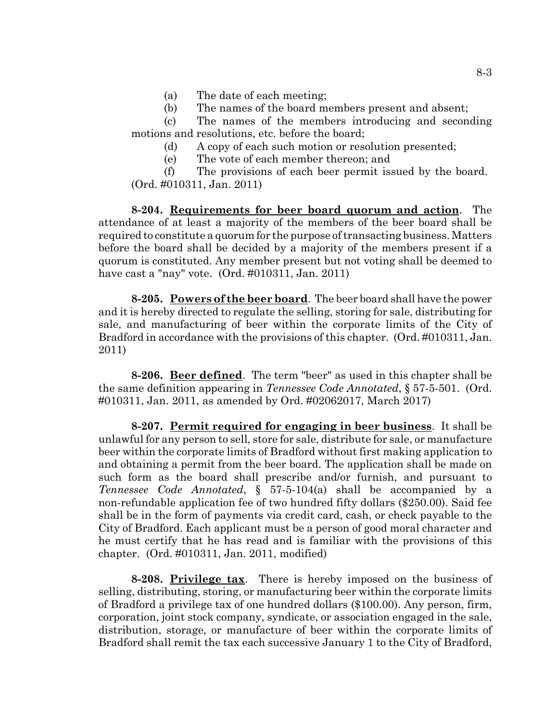- (a) The date of each meeting;
- (b) The names of the board members present and absent;

(c) The names of the members introducing and seconding motions and resolutions, etc. before the board;

- (d) A copy of each such motion or resolution presented;
- (e) The vote of each member thereon; and

(f) The provisions of each beer permit issued by the board. (Ord. #010311, Jan. 2011)

**8-204. Requirements for beer board quorum and action**. The attendance of at least a majority of the members of the beer board shall be required to constitute a quorum for the purpose of transacting business. Matters before the board shall be decided by a majority of the members present if a quorum is constituted. Any member present but not voting shall be deemed to have cast a "nay" vote. (Ord. #010311, Jan. 2011)

**8-205. Powers of the beer board**. The beer board shall have the power and it is hereby directed to regulate the selling, storing for sale, distributing for sale, and manufacturing of beer within the corporate limits of the City of Bradford in accordance with the provisions of this chapter. (Ord. #010311, Jan. 2011)

**8-206. Beer defined**. The term "beer" as used in this chapter shall be the same definition appearing in *Tennessee Code Annotated*, § 57-5-501. (Ord. #010311, Jan. 2011, as amended by Ord. #02062017, March 2017)

**8-207. Permit required for engaging in beer business**. It shall be unlawful for any person to sell, store for sale, distribute for sale, or manufacture beer within the corporate limits of Bradford without first making application to and obtaining a permit from the beer board. The application shall be made on such form as the board shall prescribe and/or furnish, and pursuant to *Tennessee Code Annotated*, § 57-5-104(a) shall be accompanied by a non-refundable application fee of two hundred fifty dollars (\$250.00). Said fee shall be in the form of payments via credit card, cash, or check payable to the City of Bradford. Each applicant must be a person of good moral character and he must certify that he has read and is familiar with the provisions of this chapter. (Ord. #010311, Jan. 2011, modified)

**8-208. Privilege tax**. There is hereby imposed on the business of selling, distributing, storing, or manufacturing beer within the corporate limits of Bradford a privilege tax of one hundred dollars (\$100.00). Any person, firm, corporation, joint stock company, syndicate, or association engaged in the sale, distribution, storage, or manufacture of beer within the corporate limits of Bradford shall remit the tax each successive January 1 to the City of Bradford,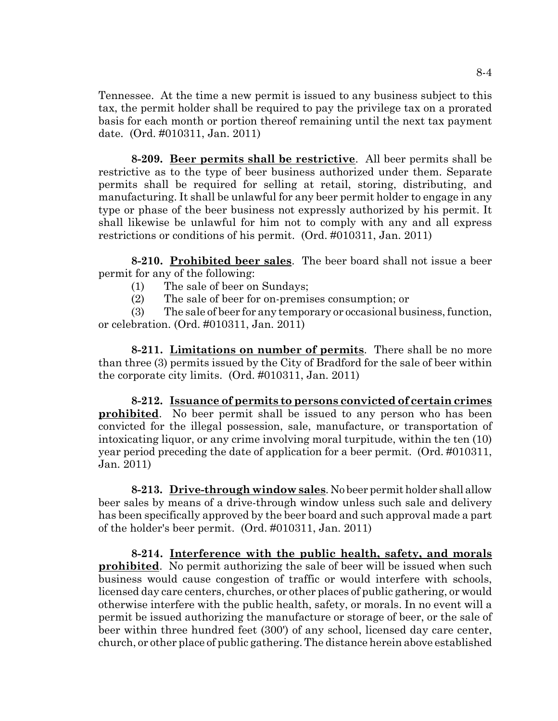Tennessee. At the time a new permit is issued to any business subject to this tax, the permit holder shall be required to pay the privilege tax on a prorated basis for each month or portion thereof remaining until the next tax payment date. (Ord. #010311, Jan. 2011)

**8-209. Beer permits shall be restrictive**. All beer permits shall be restrictive as to the type of beer business authorized under them. Separate permits shall be required for selling at retail, storing, distributing, and manufacturing. It shall be unlawful for any beer permit holder to engage in any type or phase of the beer business not expressly authorized by his permit. It shall likewise be unlawful for him not to comply with any and all express restrictions or conditions of his permit. (Ord. #010311, Jan. 2011)

**8-210. Prohibited beer sales**. The beer board shall not issue a beer permit for any of the following:

- (1) The sale of beer on Sundays;
- (2) The sale of beer for on-premises consumption; or

(3) The sale of beer for any temporary or occasional business, function, or celebration. (Ord. #010311, Jan. 2011)

**8-211. Limitations on number of permits**. There shall be no more than three (3) permits issued by the City of Bradford for the sale of beer within the corporate city limits. (Ord. #010311, Jan. 2011)

**8-212. Issuance of permits to persons convicted of certain crimes prohibited**. No beer permit shall be issued to any person who has been convicted for the illegal possession, sale, manufacture, or transportation of intoxicating liquor, or any crime involving moral turpitude, within the ten (10) year period preceding the date of application for a beer permit. (Ord. #010311, Jan. 2011)

**8-213. Drive-through window sales**. No beer permit holder shall allow beer sales by means of a drive-through window unless such sale and delivery has been specifically approved by the beer board and such approval made a part of the holder's beer permit. (Ord. #010311, Jan. 2011)

**8-214. Interference with the public health, safety, and morals prohibited**. No permit authorizing the sale of beer will be issued when such business would cause congestion of traffic or would interfere with schools, licensed day care centers, churches, or other places of public gathering, or would otherwise interfere with the public health, safety, or morals. In no event will a permit be issued authorizing the manufacture or storage of beer, or the sale of beer within three hundred feet (300') of any school, licensed day care center, church, or other place of public gathering. The distance herein above established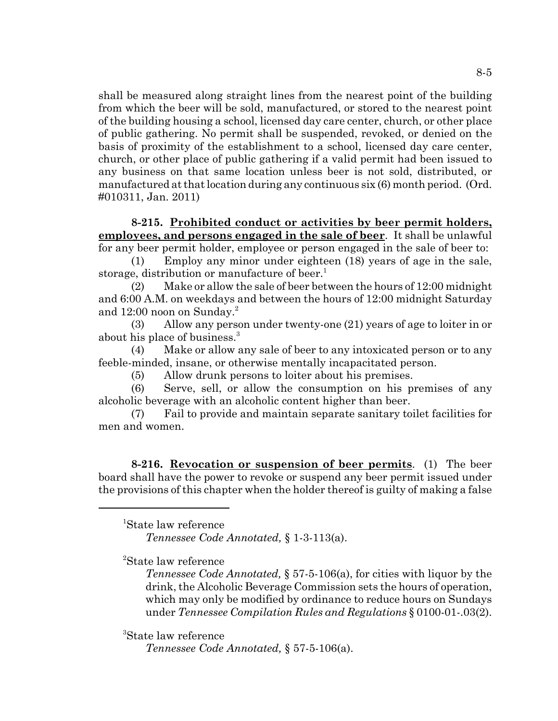shall be measured along straight lines from the nearest point of the building from which the beer will be sold, manufactured, or stored to the nearest point of the building housing a school, licensed day care center, church, or other place of public gathering. No permit shall be suspended, revoked, or denied on the basis of proximity of the establishment to a school, licensed day care center, church, or other place of public gathering if a valid permit had been issued to any business on that same location unless beer is not sold, distributed, or manufactured at that location during any continuous six (6) month period. (Ord. #010311, Jan. 2011)

# **8-215. Prohibited conduct or activities by beer permit holders, employees, and persons engaged in the sale of beer**. It shall be unlawful for any beer permit holder, employee or person engaged in the sale of beer to:

(1) Employ any minor under eighteen (18) years of age in the sale, storage, distribution or manufacture of beer.<sup>1</sup>

(2) Make or allow the sale of beer between the hours of 12:00 midnight and 6:00 A.M. on weekdays and between the hours of 12:00 midnight Saturday and  $12:00$  noon on Sunday.<sup>2</sup>

(3) Allow any person under twenty-one (21) years of age to loiter in or about his place of business.<sup>3</sup>

(4) Make or allow any sale of beer to any intoxicated person or to any feeble-minded, insane, or otherwise mentally incapacitated person.

(5) Allow drunk persons to loiter about his premises.

(6) Serve, sell, or allow the consumption on his premises of any alcoholic beverage with an alcoholic content higher than beer.

(7) Fail to provide and maintain separate sanitary toilet facilities for men and women.

**8-216. Revocation or suspension of beer permits**. (1) The beer board shall have the power to revoke or suspend any beer permit issued under the provisions of this chapter when the holder thereof is guilty of making a false

<sup>1</sup> State law reference

*Tennessee Code Annotated,* § 1-3-113(a).

<sup>2</sup> State law reference

*Tennessee Code Annotated,* § 57-5-106(a), for cities with liquor by the drink, the Alcoholic Beverage Commission sets the hours of operation, which may only be modified by ordinance to reduce hours on Sundays under *Tennessee Compilation Rules and Regulations* § 0100-01-.03(2).

<sup>3</sup> State law reference

*Tennessee Code Annotated,* § 57-5-106(a).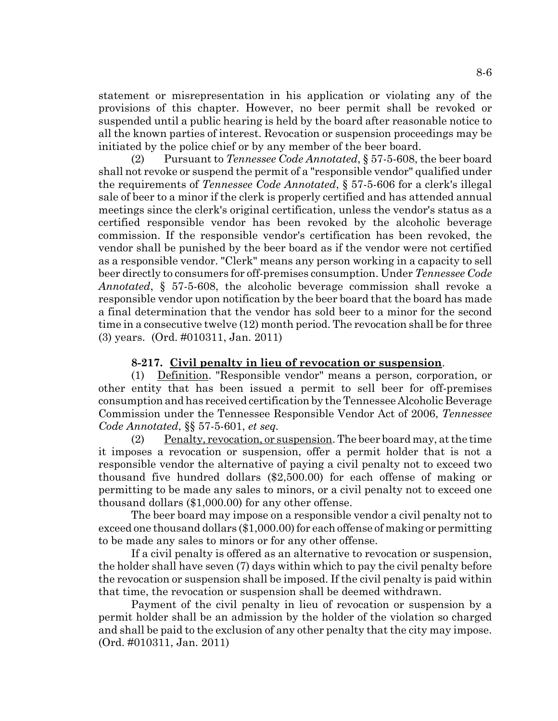statement or misrepresentation in his application or violating any of the provisions of this chapter. However, no beer permit shall be revoked or suspended until a public hearing is held by the board after reasonable notice to all the known parties of interest. Revocation or suspension proceedings may be initiated by the police chief or by any member of the beer board.

(2) Pursuant to *Tennessee Code Annotated*, § 57-5-608, the beer board shall not revoke or suspend the permit of a "responsible vendor" qualified under the requirements of *Tennessee Code Annotated*, § 57-5-606 for a clerk's illegal sale of beer to a minor if the clerk is properly certified and has attended annual meetings since the clerk's original certification, unless the vendor's status as a certified responsible vendor has been revoked by the alcoholic beverage commission. If the responsible vendor's certification has been revoked, the vendor shall be punished by the beer board as if the vendor were not certified as a responsible vendor. "Clerk" means any person working in a capacity to sell beer directly to consumers for off-premises consumption. Under *Tennessee Code Annotated*, § 57-5-608, the alcoholic beverage commission shall revoke a responsible vendor upon notification by the beer board that the board has made a final determination that the vendor has sold beer to a minor for the second time in a consecutive twelve (12) month period. The revocation shall be for three (3) years. (Ord. #010311, Jan. 2011)

## **8-217. Civil penalty in lieu of revocation or suspension**.

(1) Definition. "Responsible vendor" means a person, corporation, or other entity that has been issued a permit to sell beer for off-premises consumption and has received certification by the Tennessee Alcoholic Beverage Commission under the Tennessee Responsible Vendor Act of 2006, *Tennessee Code Annotated*, §§ 57-5-601, *et seq.*

(2) Penalty, revocation, or suspension. The beer board may, at the time it imposes a revocation or suspension, offer a permit holder that is not a responsible vendor the alternative of paying a civil penalty not to exceed two thousand five hundred dollars (\$2,500.00) for each offense of making or permitting to be made any sales to minors, or a civil penalty not to exceed one thousand dollars (\$1,000.00) for any other offense.

The beer board may impose on a responsible vendor a civil penalty not to exceed one thousand dollars (\$1,000.00) for each offense of making or permitting to be made any sales to minors or for any other offense.

If a civil penalty is offered as an alternative to revocation or suspension, the holder shall have seven (7) days within which to pay the civil penalty before the revocation or suspension shall be imposed. If the civil penalty is paid within that time, the revocation or suspension shall be deemed withdrawn.

Payment of the civil penalty in lieu of revocation or suspension by a permit holder shall be an admission by the holder of the violation so charged and shall be paid to the exclusion of any other penalty that the city may impose. (Ord. #010311, Jan. 2011)